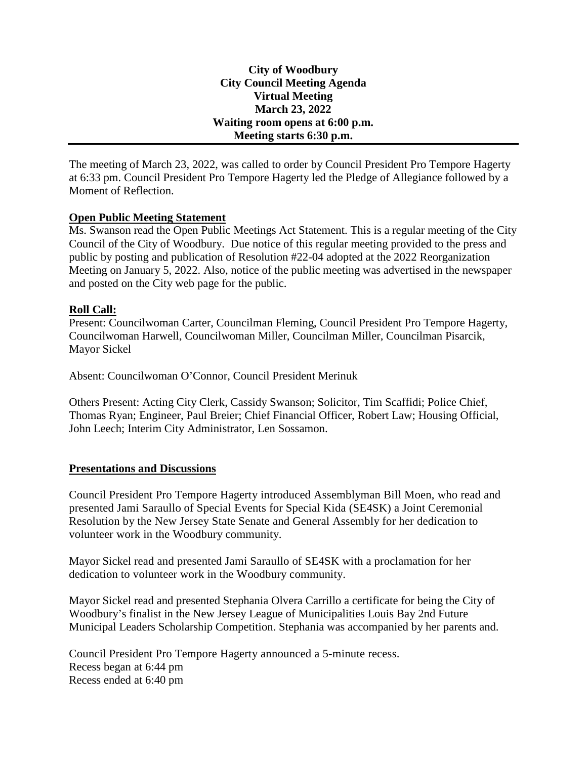#### **City of Woodbury City Council Meeting Agenda Virtual Meeting March 23, 2022 Waiting room opens at 6:00 p.m. Meeting starts 6:30 p.m.**

The meeting of March 23, 2022, was called to order by Council President Pro Tempore Hagerty at 6:33 pm. Council President Pro Tempore Hagerty led the Pledge of Allegiance followed by a Moment of Reflection.

#### **Open Public Meeting Statement**

Ms. Swanson read the Open Public Meetings Act Statement. This is a regular meeting of the City Council of the City of Woodbury. Due notice of this regular meeting provided to the press and public by posting and publication of Resolution #22-04 adopted at the 2022 Reorganization Meeting on January 5, 2022. Also, notice of the public meeting was advertised in the newspaper and posted on the City web page for the public.

#### **Roll Call:**

Present: Councilwoman Carter, Councilman Fleming, Council President Pro Tempore Hagerty, Councilwoman Harwell, Councilwoman Miller, Councilman Miller, Councilman Pisarcik, Mayor Sickel

Absent: Councilwoman O'Connor, Council President Merinuk

Others Present: Acting City Clerk, Cassidy Swanson; Solicitor, Tim Scaffidi; Police Chief, Thomas Ryan; Engineer, Paul Breier; Chief Financial Officer, Robert Law; Housing Official, John Leech; Interim City Administrator, Len Sossamon.

## **Presentations and Discussions**

Council President Pro Tempore Hagerty introduced Assemblyman Bill Moen, who read and presented Jami Saraullo of Special Events for Special Kida (SE4SK) a Joint Ceremonial Resolution by the New Jersey State Senate and General Assembly for her dedication to volunteer work in the Woodbury community.

Mayor Sickel read and presented Jami Saraullo of SE4SK with a proclamation for her dedication to volunteer work in the Woodbury community.

Mayor Sickel read and presented Stephania Olvera Carrillo a certificate for being the City of Woodbury's finalist in the New Jersey League of Municipalities Louis Bay 2nd Future Municipal Leaders Scholarship Competition. Stephania was accompanied by her parents and.

Council President Pro Tempore Hagerty announced a 5-minute recess. Recess began at 6:44 pm Recess ended at 6:40 pm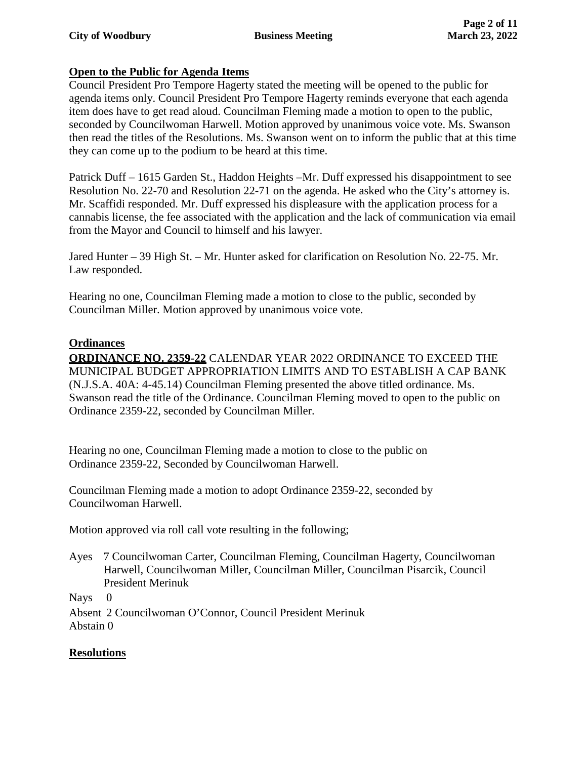## **Open to the Public for Agenda Items**

Council President Pro Tempore Hagerty stated the meeting will be opened to the public for agenda items only. Council President Pro Tempore Hagerty reminds everyone that each agenda item does have to get read aloud. Councilman Fleming made a motion to open to the public, seconded by Councilwoman Harwell. Motion approved by unanimous voice vote. Ms. Swanson then read the titles of the Resolutions. Ms. Swanson went on to inform the public that at this time they can come up to the podium to be heard at this time.

Patrick Duff – 1615 Garden St., Haddon Heights –Mr. Duff expressed his disappointment to see Resolution No. 22-70 and Resolution 22-71 on the agenda. He asked who the City's attorney is. Mr. Scaffidi responded. Mr. Duff expressed his displeasure with the application process for a cannabis license, the fee associated with the application and the lack of communication via email from the Mayor and Council to himself and his lawyer.

Jared Hunter – 39 High St. – Mr. Hunter asked for clarification on Resolution No. 22-75. Mr. Law responded.

Hearing no one, Councilman Fleming made a motion to close to the public, seconded by Councilman Miller. Motion approved by unanimous voice vote.

## **Ordinances**

**ORDINANCE NO. 2359-22** CALENDAR YEAR 2022 ORDINANCE TO EXCEED THE MUNICIPAL BUDGET APPROPRIATION LIMITS AND TO ESTABLISH A CAP BANK (N.J.S.A. 40A: 4-45.14) Councilman Fleming presented the above titled ordinance. Ms. Swanson read the title of the Ordinance. Councilman Fleming moved to open to the public on Ordinance 2359-22, seconded by Councilman Miller.

Hearing no one, Councilman Fleming made a motion to close to the public on Ordinance 2359-22, Seconded by Councilwoman Harwell.

Councilman Fleming made a motion to adopt Ordinance 2359-22, seconded by Councilwoman Harwell.

Motion approved via roll call vote resulting in the following;

Ayes 7 Councilwoman Carter, Councilman Fleming, Councilman Hagerty, Councilwoman Harwell, Councilwoman Miller, Councilman Miller, Councilman Pisarcik, Council President Merinuk

Nays 0

Absent 2 Councilwoman O'Connor, Council President Merinuk Abstain 0

## **Resolutions**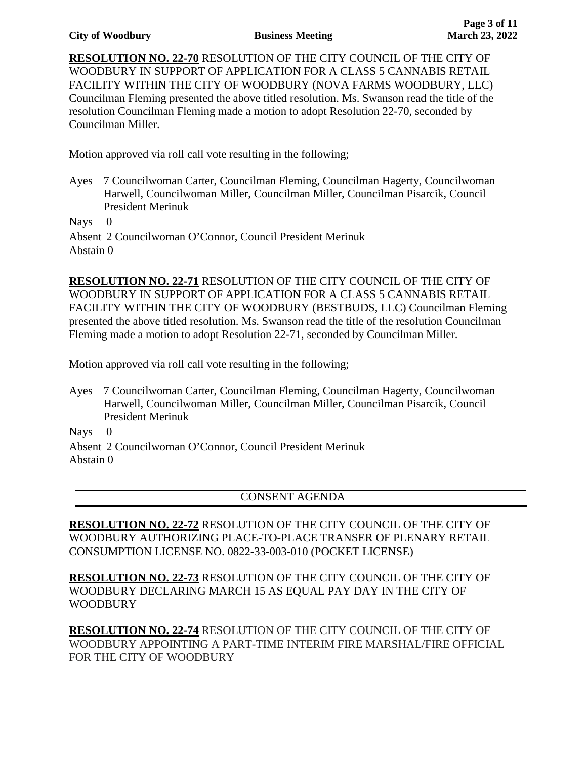#### **City of Woodbury Business Meeting**

**RESOLUTION NO. 22-70** RESOLUTION OF THE CITY COUNCIL OF THE CITY OF WOODBURY IN SUPPORT OF APPLICATION FOR A CLASS 5 CANNABIS RETAIL FACILITY WITHIN THE CITY OF WOODBURY (NOVA FARMS WOODBURY, LLC) Councilman Fleming presented the above titled resolution. Ms. Swanson read the title of the resolution Councilman Fleming made a motion to adopt Resolution 22-70, seconded by Councilman Miller.

Motion approved via roll call vote resulting in the following;

Ayes 7 Councilwoman Carter, Councilman Fleming, Councilman Hagerty, Councilwoman Harwell, Councilwoman Miller, Councilman Miller, Councilman Pisarcik, Council President Merinuk

Nays 0

Absent 2 Councilwoman O'Connor, Council President Merinuk Abstain 0

**RESOLUTION NO. 22-71** RESOLUTION OF THE CITY COUNCIL OF THE CITY OF WOODBURY IN SUPPORT OF APPLICATION FOR A CLASS 5 CANNABIS RETAIL FACILITY WITHIN THE CITY OF WOODBURY (BESTBUDS, LLC) Councilman Fleming presented the above titled resolution. Ms. Swanson read the title of the resolution Councilman Fleming made a motion to adopt Resolution 22-71, seconded by Councilman Miller.

Motion approved via roll call vote resulting in the following;

Ayes 7 Councilwoman Carter, Councilman Fleming, Councilman Hagerty, Councilwoman Harwell, Councilwoman Miller, Councilman Miller, Councilman Pisarcik, Council President Merinuk

Nays 0

Absent 2 Councilwoman O'Connor, Council President Merinuk Abstain 0

#### CONSENT AGENDA

**RESOLUTION NO. 22-72** RESOLUTION OF THE CITY COUNCIL OF THE CITY OF WOODBURY AUTHORIZING PLACE-TO-PLACE TRANSER OF PLENARY RETAIL CONSUMPTION LICENSE NO. 0822-33-003-010 (POCKET LICENSE)

**RESOLUTION NO. 22-73** RESOLUTION OF THE CITY COUNCIL OF THE CITY OF WOODBURY DECLARING MARCH 15 AS EQUAL PAY DAY IN THE CITY OF WOODBURY

**RESOLUTION NO. 22-74** RESOLUTION OF THE CITY COUNCIL OF THE CITY OF WOODBURY APPOINTING A PART-TIME INTERIM FIRE MARSHAL/FIRE OFFICIAL FOR THE CITY OF WOODBURY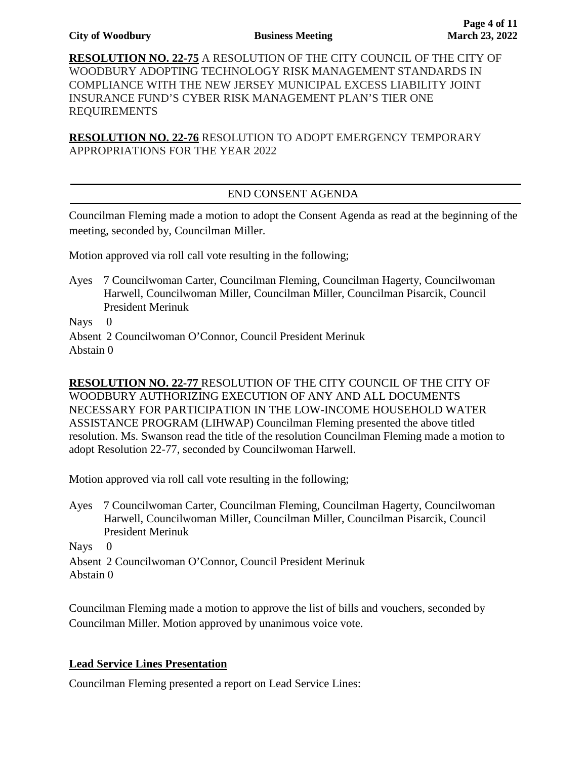**RESOLUTION NO. 22-75** A RESOLUTION OF THE CITY COUNCIL OF THE CITY OF WOODBURY ADOPTING TECHNOLOGY RISK MANAGEMENT STANDARDS IN COMPLIANCE WITH THE NEW JERSEY MUNICIPAL EXCESS LIABILITY JOINT INSURANCE FUND'S CYBER RISK MANAGEMENT PLAN'S TIER ONE REQUIREMENTS

**RESOLUTION NO. 22-76** RESOLUTION TO ADOPT EMERGENCY TEMPORARY APPROPRIATIONS FOR THE YEAR 2022

# END CONSENT AGENDA

Councilman Fleming made a motion to adopt the Consent Agenda as read at the beginning of the meeting, seconded by, Councilman Miller.

Motion approved via roll call vote resulting in the following;

Ayes 7 Councilwoman Carter, Councilman Fleming, Councilman Hagerty, Councilwoman Harwell, Councilwoman Miller, Councilman Miller, Councilman Pisarcik, Council President Merinuk

Nays 0

Absent 2 Councilwoman O'Connor, Council President Merinuk Abstain 0

**RESOLUTION NO. 22-77** RESOLUTION OF THE CITY COUNCIL OF THE CITY OF WOODBURY AUTHORIZING EXECUTION OF ANY AND ALL DOCUMENTS NECESSARY FOR PARTICIPATION IN THE LOW-INCOME HOUSEHOLD WATER ASSISTANCE PROGRAM (LIHWAP) Councilman Fleming presented the above titled resolution. Ms. Swanson read the title of the resolution Councilman Fleming made a motion to adopt Resolution 22-77, seconded by Councilwoman Harwell.

Motion approved via roll call vote resulting in the following;

Ayes 7 Councilwoman Carter, Councilman Fleming, Councilman Hagerty, Councilwoman Harwell, Councilwoman Miller, Councilman Miller, Councilman Pisarcik, Council President Merinuk

Nays 0 Absent 2 Councilwoman O'Connor, Council President Merinuk Abstain 0

Councilman Fleming made a motion to approve the list of bills and vouchers, seconded by Councilman Miller. Motion approved by unanimous voice vote.

# **Lead Service Lines Presentation**

Councilman Fleming presented a report on Lead Service Lines: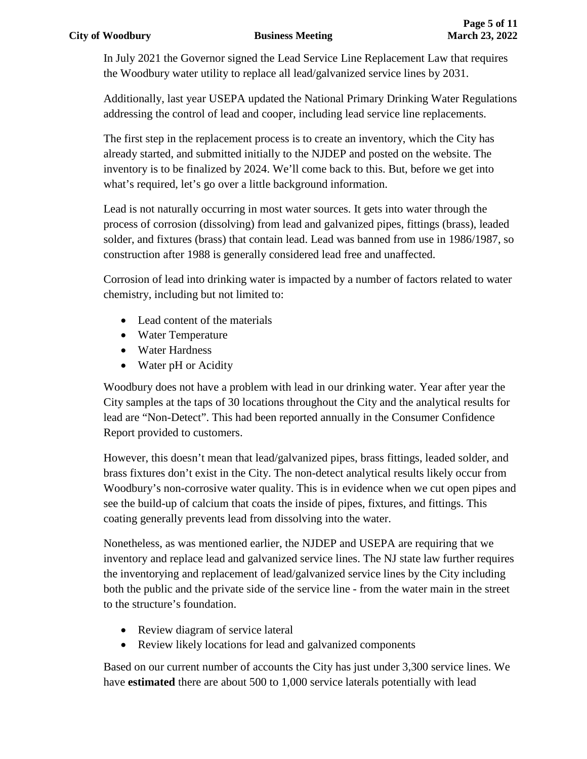In July 2021 the Governor signed the Lead Service Line Replacement Law that requires the Woodbury water utility to replace all lead/galvanized service lines by 2031.

Additionally, last year USEPA updated the National Primary Drinking Water Regulations addressing the control of lead and cooper, including lead service line replacements.

The first step in the replacement process is to create an inventory, which the City has already started, and submitted initially to the NJDEP and posted on the website. The inventory is to be finalized by 2024. We'll come back to this. But, before we get into what's required, let's go over a little background information.

Lead is not naturally occurring in most water sources. It gets into water through the process of corrosion (dissolving) from lead and galvanized pipes, fittings (brass), leaded solder, and fixtures (brass) that contain lead. Lead was banned from use in 1986/1987, so construction after 1988 is generally considered lead free and unaffected.

Corrosion of lead into drinking water is impacted by a number of factors related to water chemistry, including but not limited to:

- Lead content of the materials
- Water Temperature
- Water Hardness
- Water pH or Acidity

Woodbury does not have a problem with lead in our drinking water. Year after year the City samples at the taps of 30 locations throughout the City and the analytical results for lead are "Non-Detect". This had been reported annually in the Consumer Confidence Report provided to customers.

However, this doesn't mean that lead/galvanized pipes, brass fittings, leaded solder, and brass fixtures don't exist in the City. The non-detect analytical results likely occur from Woodbury's non-corrosive water quality. This is in evidence when we cut open pipes and see the build-up of calcium that coats the inside of pipes, fixtures, and fittings. This coating generally prevents lead from dissolving into the water.

Nonetheless, as was mentioned earlier, the NJDEP and USEPA are requiring that we inventory and replace lead and galvanized service lines. The NJ state law further requires the inventorying and replacement of lead/galvanized service lines by the City including both the public and the private side of the service line - from the water main in the street to the structure's foundation.

- Review diagram of service lateral
- Review likely locations for lead and galvanized components

Based on our current number of accounts the City has just under 3,300 service lines. We have **estimated** there are about 500 to 1,000 service laterals potentially with lead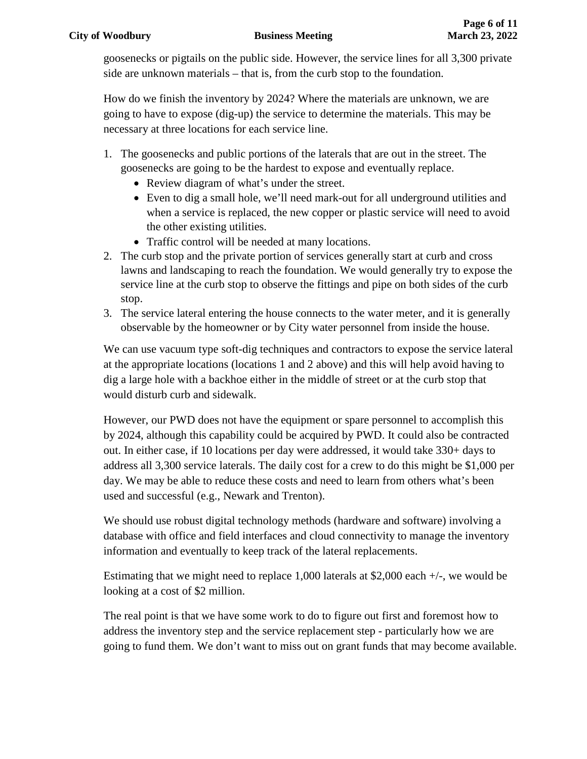goosenecks or pigtails on the public side. However, the service lines for all 3,300 private side are unknown materials – that is, from the curb stop to the foundation.

How do we finish the inventory by 2024? Where the materials are unknown, we are going to have to expose (dig-up) the service to determine the materials. This may be necessary at three locations for each service line.

- 1. The goosenecks and public portions of the laterals that are out in the street. The goosenecks are going to be the hardest to expose and eventually replace.
	- Review diagram of what's under the street.
	- Even to dig a small hole, we'll need mark-out for all underground utilities and when a service is replaced, the new copper or plastic service will need to avoid the other existing utilities.
	- Traffic control will be needed at many locations.
- 2. The curb stop and the private portion of services generally start at curb and cross lawns and landscaping to reach the foundation. We would generally try to expose the service line at the curb stop to observe the fittings and pipe on both sides of the curb stop.
- 3. The service lateral entering the house connects to the water meter, and it is generally observable by the homeowner or by City water personnel from inside the house.

We can use vacuum type soft-dig techniques and contractors to expose the service lateral at the appropriate locations (locations 1 and 2 above) and this will help avoid having to dig a large hole with a backhoe either in the middle of street or at the curb stop that would disturb curb and sidewalk.

However, our PWD does not have the equipment or spare personnel to accomplish this by 2024, although this capability could be acquired by PWD. It could also be contracted out. In either case, if 10 locations per day were addressed, it would take 330+ days to address all 3,300 service laterals. The daily cost for a crew to do this might be \$1,000 per day. We may be able to reduce these costs and need to learn from others what's been used and successful (e.g., Newark and Trenton).

We should use robust digital technology methods (hardware and software) involving a database with office and field interfaces and cloud connectivity to manage the inventory information and eventually to keep track of the lateral replacements.

Estimating that we might need to replace 1,000 laterals at \$2,000 each +/-, we would be looking at a cost of \$2 million.

The real point is that we have some work to do to figure out first and foremost how to address the inventory step and the service replacement step - particularly how we are going to fund them. We don't want to miss out on grant funds that may become available.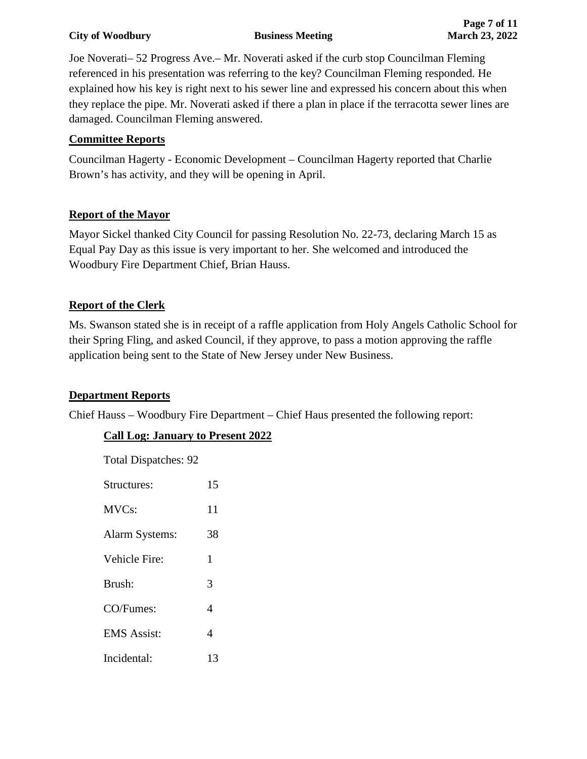#### **City of Woodbury Business Meeting March 23, 2022**

Joe Noverati– 52 Progress Ave.– Mr. Noverati asked if the curb stop Councilman Fleming referenced in his presentation was referring to the key? Councilman Fleming responded. He explained how his key is right next to his sewer line and expressed his concern about this when they replace the pipe. Mr. Noverati asked if there a plan in place if the terracotta sewer lines are damaged. Councilman Fleming answered.

## **Committee Reports**

Councilman Hagerty - Economic Development – Councilman Hagerty reported that Charlie Brown's has activity, and they will be opening in April.

# **Report of the Mayor**

Mayor Sickel thanked City Council for passing Resolution No. 22-73, declaring March 15 as Equal Pay Day as this issue is very important to her. She welcomed and introduced the Woodbury Fire Department Chief, Brian Hauss.

# **Report of the Clerk**

Ms. Swanson stated she is in receipt of a raffle application from Holy Angels Catholic School for their Spring Fling, and asked Council, if they approve, to pass a motion approving the raffle application being sent to the State of New Jersey under New Business.

## **Department Reports**

Chief Hauss – Woodbury Fire Department – Chief Haus presented the following report:

# **Call Log: January to Present 2022**

| <b>Total Dispatches: 92</b> |  |  |  |
|-----------------------------|--|--|--|
|-----------------------------|--|--|--|

| Structures:        | 15 |
|--------------------|----|
| MVC <sub>s</sub> : | 11 |
| Alarm Systems:     | 38 |
| Vehicle Fire:      | 1  |
| Brush:             | 3  |
| CO/Fumes:          | 4  |
| <b>EMS</b> Assist: | 4  |
| Incidental:        | 13 |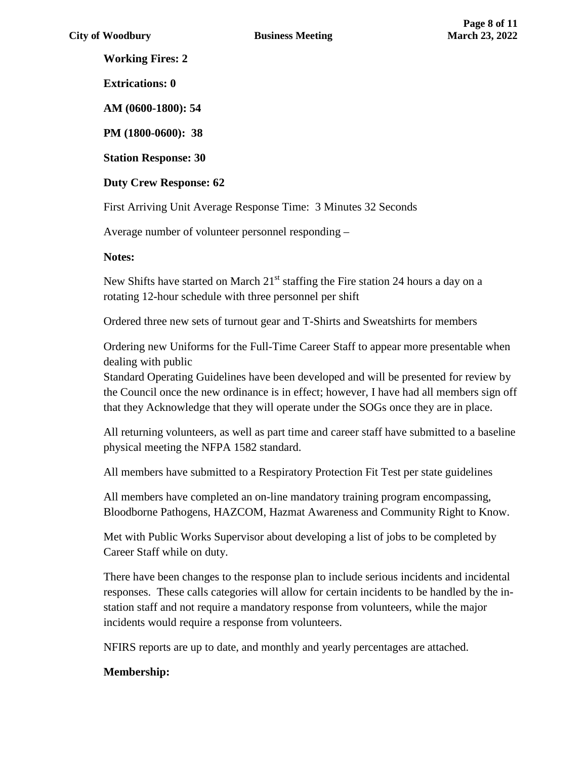**Working Fires: 2**

**Extrications: 0**

**AM (0600-1800): 54**

**PM (1800-0600): 38**

**Station Response: 30**

**Duty Crew Response: 62**

First Arriving Unit Average Response Time: 3 Minutes 32 Seconds

Average number of volunteer personnel responding –

#### **Notes:**

New Shifts have started on March  $21<sup>st</sup>$  staffing the Fire station 24 hours a day on a rotating 12-hour schedule with three personnel per shift

Ordered three new sets of turnout gear and T-Shirts and Sweatshirts for members

Ordering new Uniforms for the Full-Time Career Staff to appear more presentable when dealing with public

Standard Operating Guidelines have been developed and will be presented for review by the Council once the new ordinance is in effect; however, I have had all members sign off that they Acknowledge that they will operate under the SOGs once they are in place.

All returning volunteers, as well as part time and career staff have submitted to a baseline physical meeting the NFPA 1582 standard.

All members have submitted to a Respiratory Protection Fit Test per state guidelines

All members have completed an on-line mandatory training program encompassing, Bloodborne Pathogens, HAZCOM, Hazmat Awareness and Community Right to Know.

Met with Public Works Supervisor about developing a list of jobs to be completed by Career Staff while on duty.

There have been changes to the response plan to include serious incidents and incidental responses. These calls categories will allow for certain incidents to be handled by the instation staff and not require a mandatory response from volunteers, while the major incidents would require a response from volunteers.

NFIRS reports are up to date, and monthly and yearly percentages are attached.

## **Membership:**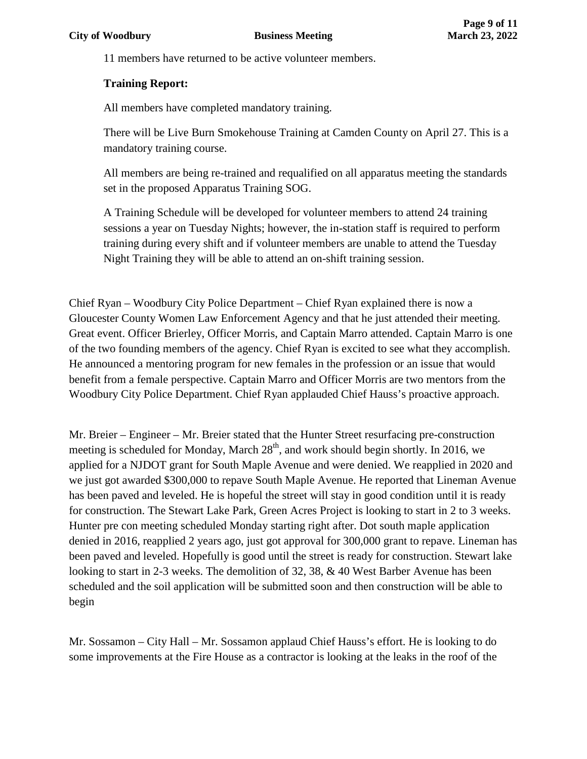11 members have returned to be active volunteer members.

#### **Training Report:**

All members have completed mandatory training.

There will be Live Burn Smokehouse Training at Camden County on April 27. This is a mandatory training course.

All members are being re-trained and requalified on all apparatus meeting the standards set in the proposed Apparatus Training SOG.

A Training Schedule will be developed for volunteer members to attend 24 training sessions a year on Tuesday Nights; however, the in-station staff is required to perform training during every shift and if volunteer members are unable to attend the Tuesday Night Training they will be able to attend an on-shift training session.

Chief Ryan – Woodbury City Police Department – Chief Ryan explained there is now a Gloucester County Women Law Enforcement Agency and that he just attended their meeting. Great event. Officer Brierley, Officer Morris, and Captain Marro attended. Captain Marro is one of the two founding members of the agency. Chief Ryan is excited to see what they accomplish. He announced a mentoring program for new females in the profession or an issue that would benefit from a female perspective. Captain Marro and Officer Morris are two mentors from the Woodbury City Police Department. Chief Ryan applauded Chief Hauss's proactive approach.

Mr. Breier – Engineer – Mr. Breier stated that the Hunter Street resurfacing pre-construction meeting is scheduled for Monday, March 28<sup>th</sup>, and work should begin shortly. In 2016, we applied for a NJDOT grant for South Maple Avenue and were denied. We reapplied in 2020 and we just got awarded \$300,000 to repave South Maple Avenue. He reported that Lineman Avenue has been paved and leveled. He is hopeful the street will stay in good condition until it is ready for construction. The Stewart Lake Park, Green Acres Project is looking to start in 2 to 3 weeks. Hunter pre con meeting scheduled Monday starting right after. Dot south maple application denied in 2016, reapplied 2 years ago, just got approval for 300,000 grant to repave. Lineman has been paved and leveled. Hopefully is good until the street is ready for construction. Stewart lake looking to start in 2-3 weeks. The demolition of 32, 38, & 40 West Barber Avenue has been scheduled and the soil application will be submitted soon and then construction will be able to begin

Mr. Sossamon – City Hall – Mr. Sossamon applaud Chief Hauss's effort. He is looking to do some improvements at the Fire House as a contractor is looking at the leaks in the roof of the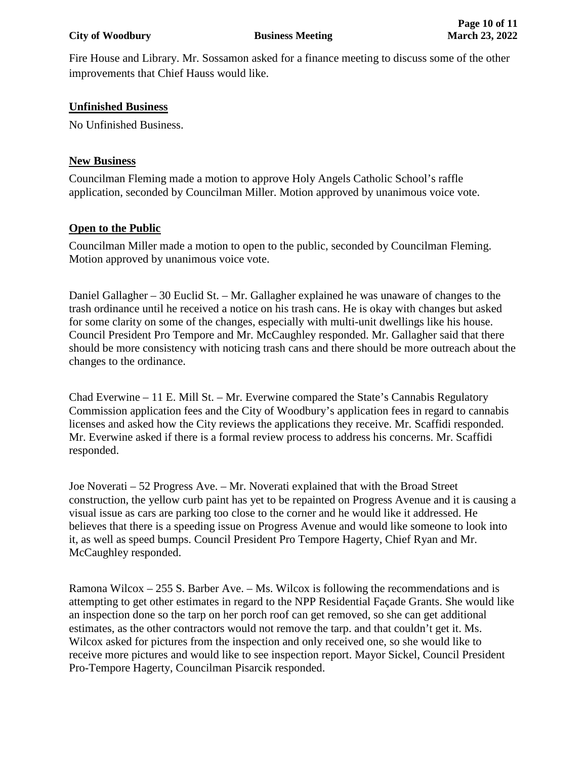Fire House and Library. Mr. Sossamon asked for a finance meeting to discuss some of the other improvements that Chief Hauss would like.

## **Unfinished Business**

No Unfinished Business.

# **New Business**

Councilman Fleming made a motion to approve Holy Angels Catholic School's raffle application, seconded by Councilman Miller. Motion approved by unanimous voice vote.

# **Open to the Public**

Councilman Miller made a motion to open to the public, seconded by Councilman Fleming. Motion approved by unanimous voice vote.

Daniel Gallagher – 30 Euclid St. – Mr. Gallagher explained he was unaware of changes to the trash ordinance until he received a notice on his trash cans. He is okay with changes but asked for some clarity on some of the changes, especially with multi-unit dwellings like his house. Council President Pro Tempore and Mr. McCaughley responded. Mr. Gallagher said that there should be more consistency with noticing trash cans and there should be more outreach about the changes to the ordinance.

Chad Everwine – 11 E. Mill St. – Mr. Everwine compared the State's Cannabis Regulatory Commission application fees and the City of Woodbury's application fees in regard to cannabis licenses and asked how the City reviews the applications they receive. Mr. Scaffidi responded. Mr. Everwine asked if there is a formal review process to address his concerns. Mr. Scaffidi responded.

Joe Noverati – 52 Progress Ave. – Mr. Noverati explained that with the Broad Street construction, the yellow curb paint has yet to be repainted on Progress Avenue and it is causing a visual issue as cars are parking too close to the corner and he would like it addressed. He believes that there is a speeding issue on Progress Avenue and would like someone to look into it, as well as speed bumps. Council President Pro Tempore Hagerty, Chief Ryan and Mr. McCaughley responded.

Ramona Wilcox – 255 S. Barber Ave. – Ms. Wilcox is following the recommendations and is attempting to get other estimates in regard to the NPP Residential Façade Grants. She would like an inspection done so the tarp on her porch roof can get removed, so she can get additional estimates, as the other contractors would not remove the tarp. and that couldn't get it. Ms. Wilcox asked for pictures from the inspection and only received one, so she would like to receive more pictures and would like to see inspection report. Mayor Sickel, Council President Pro-Tempore Hagerty, Councilman Pisarcik responded.